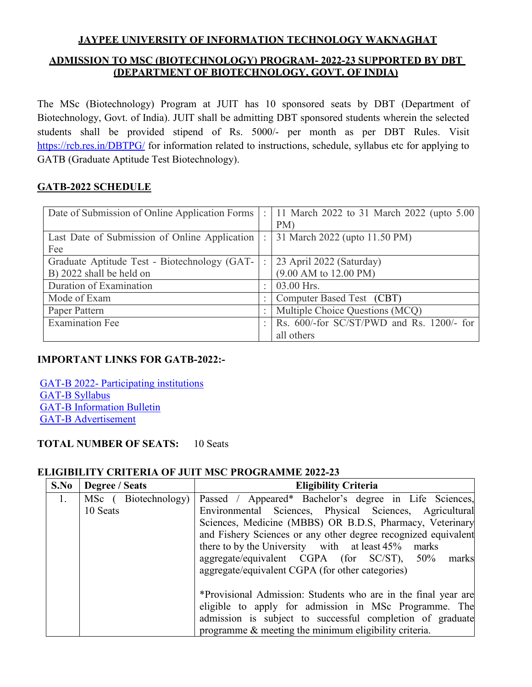# **JAYPEE UNIVERSITY OF INFORMATION TECHNOLOGY WAKNAGHAT ADMISSION TO MSC (BIOTECHNOLOGY) PROGRAM- 2022-23 SUPPORTED BY DBT (DEPARTMENT OF BIOTECHNOLOGY, GOVT. OF INDIA)**

The MSc (Biotechnology) Program at JUIT has 10 sponsored seats by DBT (Department of Biotechnology, Govt. of India). JUIT shall be admitting DBT sponsored students wherein the selected students shall be provided stipend of Rs. 5000/- per month as per DBT Rules. Visit [https://rcb.res.in/DBTPG/](http://www.rcb.res.in/GATB) for information related to instructions, schedule, syllabus etc for applying to GATB (Graduate Aptitude Test Biotechnology).

## **GATB-2022 SCHEDULE**

| Date of Submission of Online Application Forms                           |  | 11 March 2022 to 31 March 2022 (upto 5.00<br>PM)                     |
|--------------------------------------------------------------------------|--|----------------------------------------------------------------------|
| Last Date of Submission of Online Application<br>Fee                     |  | 31 March 2022 (upto 11.50 PM)                                        |
| Graduate Aptitude Test - Biotechnology (GAT-<br>B) 2022 shall be held on |  | 23 April 2022 (Saturday)<br>$(9.00 \text{ AM to } 12.00 \text{ PM})$ |
| Duration of Examination                                                  |  | 03.00 Hrs.                                                           |
| Mode of Exam                                                             |  | Computer Based Test (CBT)                                            |
| Paper Pattern                                                            |  | Multiple Choice Questions (MCQ)                                      |
| <b>Examination Fee</b>                                                   |  | Rs. 600/-for SC/ST/PWD and Rs. 1200/- for                            |
|                                                                          |  | all others                                                           |

## **IMPORTANT LINKS FOR GATB-2022:-**

GAT-B 2022- [Participating institutions](https://rcb.res.in/DBTPG/upload/List%20of%20host%20institutions%20in%20GAT-B%202022.pdf) [GAT-B Syllabus](https://rcb.res.in/DBTPG/upload/GAT-B%20Syllabus.pdf) [GAT-B Information Bulletin](https://rcb.res.in/DBTPG/upload/GAT-B%202022-NTA%20Information%20Bulletin.pdf) [GAT-B Advertisement](https://rcb.res.in/DBTPG/upload/GAT-B%202022.jpg)

## **TOTAL NUMBER OF SEATS:** 10 Seats

## **ELIGIBILITY CRITERIA OF JUIT MSC PROGRAMME 2022-23**

| S.No | Degree / Seats      | <b>Eligibility Criteria</b>                                    |  |  |  |
|------|---------------------|----------------------------------------------------------------|--|--|--|
|      | MSc (Biotechnology) | Passed / Appeared* Bachelor's degree in Life Sciences,         |  |  |  |
|      | 10 Seats            | Environmental Sciences, Physical Sciences, Agricultural        |  |  |  |
|      |                     | Sciences, Medicine (MBBS) OR B.D.S, Pharmacy, Veterinary       |  |  |  |
|      |                     | and Fishery Sciences or any other degree recognized equivalent |  |  |  |
|      |                     | there to by the University with at least 45%<br>marks          |  |  |  |
|      |                     | aggregate/equivalent CGPA (for SC/ST), 50%<br>marks            |  |  |  |
|      |                     | aggregate/equivalent CGPA (for other categories)               |  |  |  |
|      |                     |                                                                |  |  |  |
|      |                     | *Provisional Admission: Students who are in the final year are |  |  |  |
|      |                     | eligible to apply for admission in MSc Programme. The          |  |  |  |
|      |                     | admission is subject to successful completion of graduate      |  |  |  |
|      |                     | programme $\&$ meeting the minimum eligibility criteria.       |  |  |  |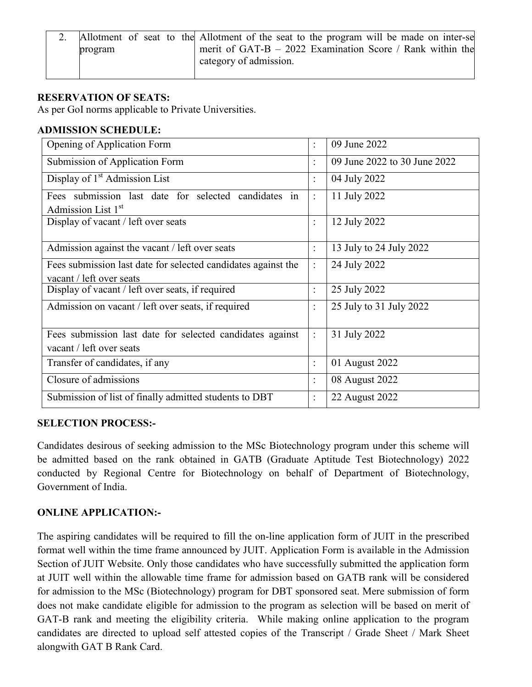|         |  |  | Allotment of seat to the Allotment of the seat to the program will be made on inter-se |  |
|---------|--|--|----------------------------------------------------------------------------------------|--|
| program |  |  | merit of GAT-B $-$ 2022 Examination Score / Rank within the                            |  |
|         |  |  | category of admission.                                                                 |  |

## **RESERVATION OF SEATS:**

As per GoI norms applicable to Private Universities.

## **ADMISSION SCHEDULE:**

| Opening of Application Form                                                               | $\ddot{\cdot}$ | 09 June 2022                 |
|-------------------------------------------------------------------------------------------|----------------|------------------------------|
| Submission of Application Form                                                            | $\ddot{\cdot}$ | 09 June 2022 to 30 June 2022 |
| Display of 1 <sup>st</sup> Admission List                                                 | $\ddot{\cdot}$ | 04 July 2022                 |
| Fees submission last date for selected candidates in<br>Admission List 1st                | $\ddot{\cdot}$ | 11 July 2022                 |
| Display of vacant / left over seats                                                       | $\ddot{\cdot}$ | 12 July 2022                 |
| Admission against the vacant / left over seats                                            | $\ddot{\cdot}$ | 13 July to 24 July 2022      |
| Fees submission last date for selected candidates against the<br>vacant / left over seats | $\ddot{\cdot}$ | 24 July 2022                 |
| Display of vacant / left over seats, if required                                          | $\ddot{\cdot}$ | 25 July 2022                 |
| Admission on vacant / left over seats, if required                                        | $\vdots$       | 25 July to 31 July 2022      |
| Fees submission last date for selected candidates against<br>vacant / left over seats     | $\ddot{\cdot}$ | 31 July 2022                 |
| Transfer of candidates, if any                                                            | $\ddot{\cdot}$ | 01 August 2022               |
| Closure of admissions                                                                     | $\ddot{\cdot}$ | 08 August 2022               |
| Submission of list of finally admitted students to DBT                                    | $\ddot{\cdot}$ | 22 August 2022               |

## **SELECTION PROCESS:-**

Candidates desirous of seeking admission to the MSc Biotechnology program under this scheme will be admitted based on the rank obtained in GATB (Graduate Aptitude Test Biotechnology) 2022 conducted by Regional Centre for Biotechnology on behalf of Department of Biotechnology, Government of India.

## **ONLINE APPLICATION:-**

The aspiring candidates will be required to fill the on-line application form of JUIT in the prescribed format well within the time frame announced by JUIT. Application Form is available in the Admission Section of JUIT Website. Only those candidates who have successfully submitted the application form at JUIT well within the allowable time frame for admission based on GATB rank will be considered for admission to the MSc (Biotechnology) program for DBT sponsored seat. Mere submission of form does not make candidate eligible for admission to the program as selection will be based on merit of GAT-B rank and meeting the eligibility criteria. While making online application to the program candidates are directed to upload self attested copies of the Transcript / Grade Sheet / Mark Sheet alongwith GAT B Rank Card.